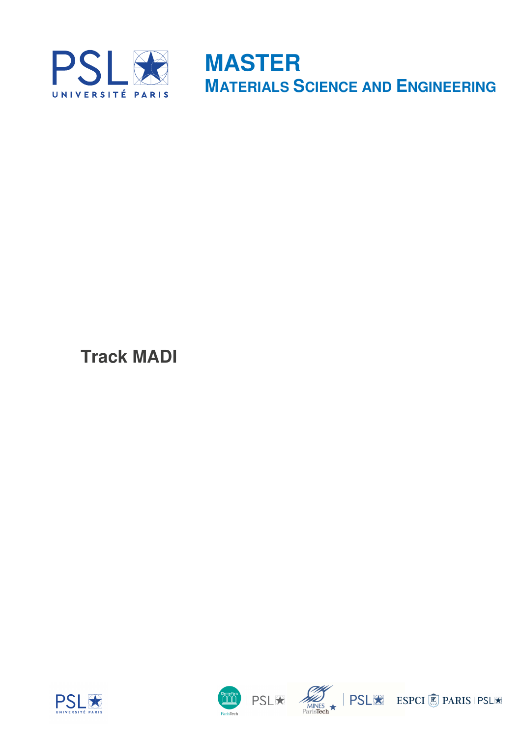

**MASTER MATERIALS SCIENCE AND ENGINEERING**

**Track MADI** 







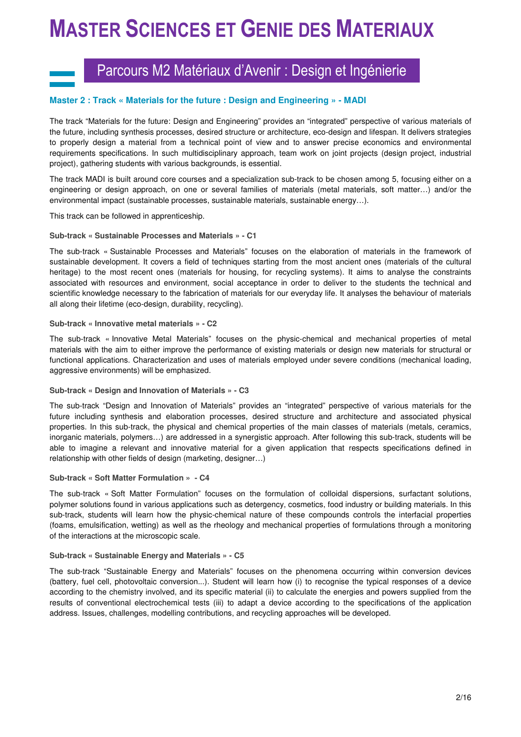## Parcours M2 Matériaux d'Avenir : Design et Ingénierie

#### **Master 2 : Track « Materials for the future : Design and Engineering » - MADI**

The track "Materials for the future: Design and Engineering" provides an "integrated" perspective of various materials of the future, including synthesis processes, desired structure or architecture, eco-design and lifespan. It delivers strategies to properly design a material from a technical point of view and to answer precise economics and environmental requirements specifications. In such multidisciplinary approach, team work on joint projects (design project, industrial project), gathering students with various backgrounds, is essential.

The track MADI is built around core courses and a specialization sub-track to be chosen among 5, focusing either on a engineering or design approach, on one or several families of materials (metal materials, soft matter…) and/or the environmental impact (sustainable processes, sustainable materials, sustainable energy…).

This track can be followed in apprenticeship.

#### **Sub-track « Sustainable Processes and Materials » - C1**

The sub-track « Sustainable Processes and Materials" focuses on the elaboration of materials in the framework of sustainable development. It covers a field of techniques starting from the most ancient ones (materials of the cultural heritage) to the most recent ones (materials for housing, for recycling systems). It aims to analyse the constraints associated with resources and environment, social acceptance in order to deliver to the students the technical and scientific knowledge necessary to the fabrication of materials for our everyday life. It analyses the behaviour of materials all along their lifetime (eco-design, durability, recycling).

#### **Sub-track « Innovative metal materials » - C2**

The sub-track « Innovative Metal Materials" focuses on the physic-chemical and mechanical properties of metal materials with the aim to either improve the performance of existing materials or design new materials for structural or functional applications. Characterization and uses of materials employed under severe conditions (mechanical loading, aggressive environments) will be emphasized.

#### **Sub-track « Design and Innovation of Materials » - C3**

The sub-track "Design and Innovation of Materials" provides an "integrated" perspective of various materials for the future including synthesis and elaboration processes, desired structure and architecture and associated physical properties. In this sub-track, the physical and chemical properties of the main classes of materials (metals, ceramics, inorganic materials, polymers…) are addressed in a synergistic approach. After following this sub-track, students will be able to imagine a relevant and innovative material for a given application that respects specifications defined in relationship with other fields of design (marketing, designer…)

#### **Sub-track « Soft Matter Formulation » - C4**

The sub-track « Soft Matter Formulation" focuses on the formulation of colloidal dispersions, surfactant solutions, polymer solutions found in various applications such as detergency, cosmetics, food industry or building materials. In this sub-track, students will learn how the physic-chemical nature of these compounds controls the interfacial properties (foams, emulsification, wetting) as well as the rheology and mechanical properties of formulations through a monitoring of the interactions at the microscopic scale.

#### **Sub-track « Sustainable Energy and Materials » - C5**

The sub-track "Sustainable Energy and Materials" focuses on the phenomena occurring within conversion devices (battery, fuel cell, photovoltaic conversion...). Student will learn how (i) to recognise the typical responses of a device according to the chemistry involved, and its specific material (ii) to calculate the energies and powers supplied from the results of conventional electrochemical tests (iii) to adapt a device according to the specifications of the application address. Issues, challenges, modelling contributions, and recycling approaches will be developed.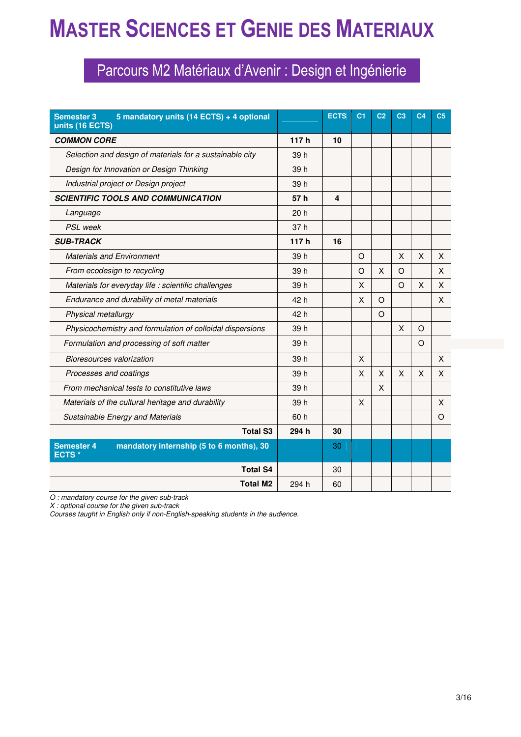## Parcours M2 Matériaux d'Avenir : Design et Ingénierie

| 5 mandatory units (14 ECTS) + 4 optional<br><b>Semester 3</b><br>units (16 ECTS) |                 | <b>ECTS</b>             | C <sub>1</sub> | C <sub>2</sub> | C <sub>3</sub> | C <sub>4</sub> | C <sub>5</sub> |
|----------------------------------------------------------------------------------|-----------------|-------------------------|----------------|----------------|----------------|----------------|----------------|
| <b>COMMON CORE</b>                                                               | 117h            | 10                      |                |                |                |                |                |
| Selection and design of materials for a sustainable city                         | 39 h            |                         |                |                |                |                |                |
| Design for Innovation or Design Thinking                                         | 39 h            |                         |                |                |                |                |                |
| Industrial project or Design project                                             | 39 h            |                         |                |                |                |                |                |
| <b>SCIENTIFIC TOOLS AND COMMUNICATION</b>                                        | 57 h            | $\overline{\mathbf{4}}$ |                |                |                |                |                |
| Language                                                                         | 20 <sub>h</sub> |                         |                |                |                |                |                |
| <b>PSL</b> week                                                                  | 37 <sub>h</sub> |                         |                |                |                |                |                |
| <b>SUB-TRACK</b>                                                                 | 117h            | 16                      |                |                |                |                |                |
| <b>Materials and Environment</b>                                                 | 39 h            |                         | $\circ$        |                | X              | X              | X              |
| From ecodesign to recycling                                                      | 39 h            |                         | $\Omega$       | X              | $\Omega$       |                | X              |
| Materials for everyday life : scientific challenges                              | 39 h            |                         | X              |                | $\Omega$       | X              | X              |
| Endurance and durability of metal materials                                      | 42 h            |                         | X              | $\circ$        |                |                | X              |
| Physical metallurgy                                                              | 42 h            |                         |                | $\circ$        |                |                |                |
| Physicochemistry and formulation of colloidal dispersions                        | 39 h            |                         |                |                | X              | $\Omega$       |                |
| Formulation and processing of soft matter                                        | 39 h            |                         |                |                |                | $\Omega$       |                |
| Bioresources valorization                                                        | 39 h            |                         | X              |                |                |                | X              |
| Processes and coatings                                                           | 39 h            |                         | X              | X              | X              | X              | X              |
| From mechanical tests to constitutive laws                                       | 39 h            |                         |                | X              |                |                |                |
| Materials of the cultural heritage and durability                                | 39 h            |                         | X              |                |                |                | X              |
| <b>Sustainable Energy and Materials</b>                                          | 60 h            |                         |                |                |                |                | $\Omega$       |
| <b>Total S3</b>                                                                  | 294 h           | 30                      |                |                |                |                |                |
| mandatory internship (5 to 6 months), 30<br><b>Semester 4</b><br><b>ECTS*</b>    |                 | 30                      |                |                |                |                |                |
| <b>Total S4</b>                                                                  |                 | 30                      |                |                |                |                |                |
| <b>Total M2</b>                                                                  | 294 h           | 60                      |                |                |                |                |                |

*O : mandatory course for the given sub-track* 

*X : optional course for the given sub-track* 

*Courses taught in English only if non-English-speaking students in the audience.*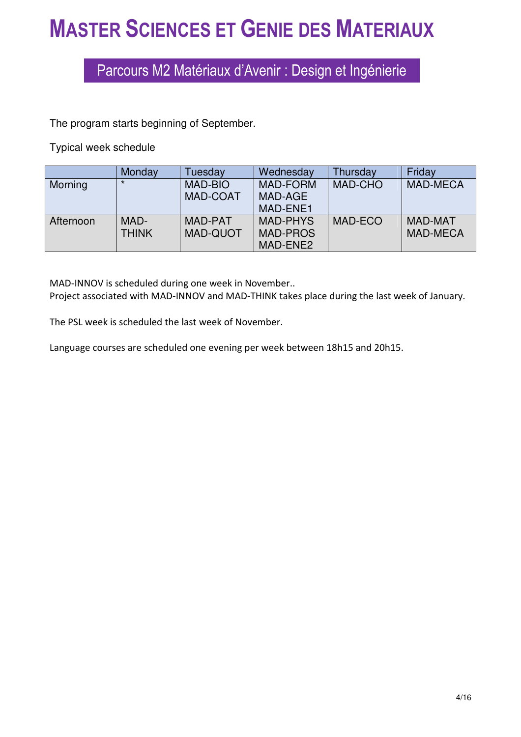## Parcours M2 Matériaux d'Avenir : Design et Ingénierie

The program starts beginning of September.

Typical week schedule

|           | Monday       | Tuesday         | Wednesday       | Thursday       | Friday          |
|-----------|--------------|-----------------|-----------------|----------------|-----------------|
| Morning   | $\star$      | <b>MAD-BIO</b>  | <b>MAD-FORM</b> | <b>MAD-CHO</b> | <b>MAD-MECA</b> |
|           |              | <b>MAD-COAT</b> | MAD-AGE         |                |                 |
|           |              |                 | MAD-ENE1        |                |                 |
| Afternoon | MAD-         | MAD-PAT         | <b>MAD-PHYS</b> | MAD-ECO        | <b>MAD-MAT</b>  |
|           | <b>THINK</b> | <b>MAD-QUOT</b> | <b>MAD-PROS</b> |                | <b>MAD-MECA</b> |
|           |              |                 | MAD-ENE2        |                |                 |

MAD-INNOV is scheduled during one week in November.. Project associated with MAD-INNOV and MAD-THINK takes place during the last week of January.

The PSL week is scheduled the last week of November.

Language courses are scheduled one evening per week between 18h15 and 20h15.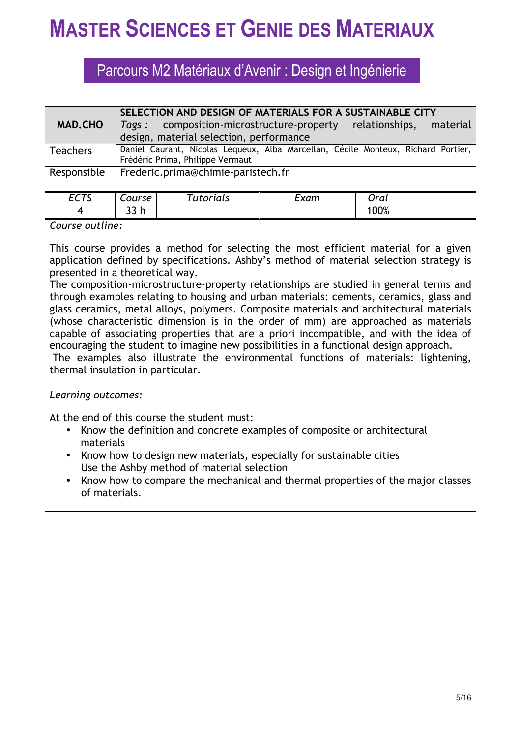## Parcours M2 Matériaux d'Avenir : Design et Ingénierie

|                 |                                                                                   | SELECTION AND DESIGN OF MATERIALS FOR A SUSTAINABLE CITY |      |                |          |  |  |
|-----------------|-----------------------------------------------------------------------------------|----------------------------------------------------------|------|----------------|----------|--|--|
| <b>MAD.CHO</b>  | Tags:                                                                             | composition-microstructure-property                      |      | relationships, | material |  |  |
|                 |                                                                                   | design, material selection, performance                  |      |                |          |  |  |
| <b>Teachers</b> | Daniel Caurant, Nicolas Lequeux, Alba Marcellan, Cécile Monteux, Richard Portier, |                                                          |      |                |          |  |  |
|                 |                                                                                   | Frédéric Prima, Philippe Vermaut                         |      |                |          |  |  |
| Responsible     |                                                                                   | Frederic.prima@chimie-paristech.fr                       |      |                |          |  |  |
|                 |                                                                                   |                                                          |      |                |          |  |  |
| <b>ECTS</b>     | Course                                                                            | <b>Tutorials</b>                                         | Exam | Oral           |          |  |  |
| 4               | 33 <sub>h</sub>                                                                   |                                                          |      | 100%           |          |  |  |
|                 |                                                                                   |                                                          |      |                |          |  |  |

*Course outline:* 

This course provides a method for selecting the most efficient material for a given application defined by specifications. Ashby's method of material selection strategy is presented in a theoretical way.

The composition-microstructure-property relationships are studied in general terms and through examples relating to housing and urban materials: cements, ceramics, glass and glass ceramics, metal alloys, polymers. Composite materials and architectural materials (whose characteristic dimension is in the order of mm) are approached as materials capable of associating properties that are a priori incompatible, and with the idea of encouraging the student to imagine new possibilities in a functional design approach.

 The examples also illustrate the environmental functions of materials: lightening, thermal insulation in particular.

*Learning outcomes:* 

At the end of this course the student must:

- Know the definition and concrete examples of composite or architectural materials
- Know how to design new materials, especially for sustainable cities Use the Ashby method of material selection
- Know how to compare the mechanical and thermal properties of the major classes of materials.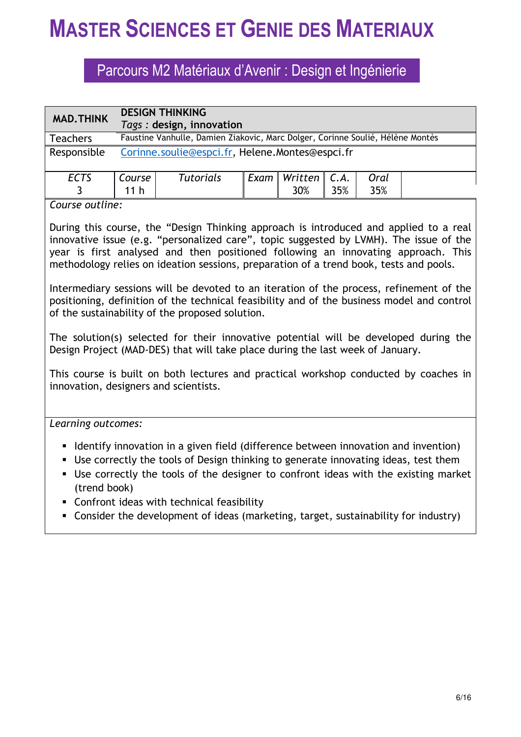## Parcours M2 Matériaux d'Avenir : Design et Ingénierie

| <b>MAD.THINK</b> | <b>DESIGN THINKING</b><br>Tags: design, innovation |                                                                                |  |                             |     |      |  |
|------------------|----------------------------------------------------|--------------------------------------------------------------------------------|--|-----------------------------|-----|------|--|
| <b>Teachers</b>  |                                                    | Faustine Vanhulle, Damien Ziakovic, Marc Dolger, Corinne Soulié, Hélène Montès |  |                             |     |      |  |
| Responsible      |                                                    | Corinne.soulie@espci.fr, Helene.Montes@espci.fr                                |  |                             |     |      |  |
| <b>ECTS</b>      | Course                                             | <b>Tutorials</b>                                                               |  | Exam   Written $\vert$ C.A. |     | Oral |  |
|                  | 11 <sub>h</sub>                                    |                                                                                |  | 30%                         | 35% | 35%  |  |

### *Course outline:*

During this course, the "Design Thinking approach is introduced and applied to a real innovative issue (e.g. "personalized care", topic suggested by LVMH). The issue of the year is first analysed and then positioned following an innovating approach. This methodology relies on ideation sessions, preparation of a trend book, tests and pools.

Intermediary sessions will be devoted to an iteration of the process, refinement of the positioning, definition of the technical feasibility and of the business model and control of the sustainability of the proposed solution.

The solution(s) selected for their innovative potential will be developed during the Design Project (MAD-DES) that will take place during the last week of January.

This course is built on both lectures and practical workshop conducted by coaches in innovation, designers and scientists.

*Learning outcomes:*

- I Identify innovation in a given field (difference between innovation and invention)
- Use correctly the tools of Design thinking to generate innovating ideas, test them
- Use correctly the tools of the designer to confront ideas with the existing market (trend book)
- Confront ideas with technical feasibility
- Consider the development of ideas (marketing, target, sustainability for industry)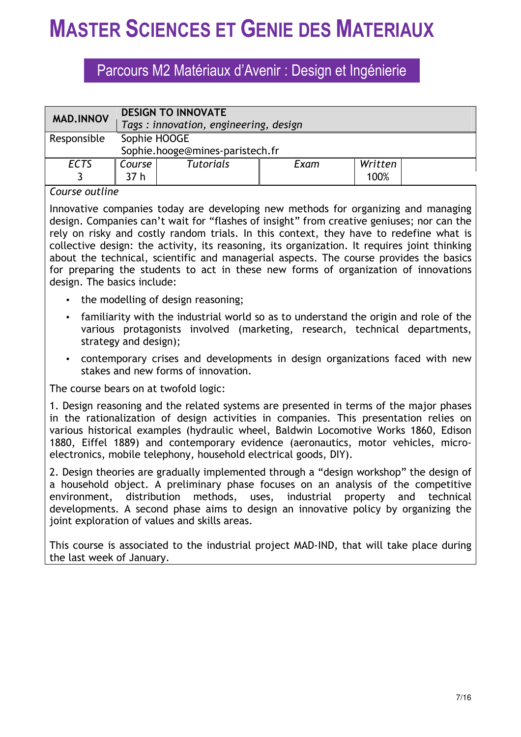## Parcours M2 Matériaux d'Avenir : Design et Ingénierie

|             | <b>DESIGN TO INNOVATE</b><br>Tags: innovation, engineering, design |                  |      |                 |  |  |
|-------------|--------------------------------------------------------------------|------------------|------|-----------------|--|--|
| Responsible | Sophie HOOGE<br>Sophie.hooge@mines-paristech.fr                    |                  |      |                 |  |  |
| <b>ECTS</b> | <b>Course</b><br>37 <sub>h</sub>                                   | <b>Tutorials</b> | Exam | Written<br>100% |  |  |

### *Course outline*

Innovative companies today are developing new methods for organizing and managing design. Companies can't wait for "flashes of insight" from creative geniuses; nor can the rely on risky and costly random trials. In this context, they have to redefine what is collective design: the activity, its reasoning, its organization. It requires joint thinking about the technical, scientific and managerial aspects. The course provides the basics for preparing the students to act in these new forms of organization of innovations design. The basics include:

- the modelling of design reasoning;
- familiarity with the industrial world so as to understand the origin and role of the various protagonists involved (marketing, research, technical departments, strategy and design);
- contemporary crises and developments in design organizations faced with new stakes and new forms of innovation.

The course bears on at twofold logic:

1. Design reasoning and the related systems are presented in terms of the major phases in the rationalization of design activities in companies. This presentation relies on various historical examples (hydraulic wheel, Baldwin Locomotive Works 1860, Edison 1880, Eiffel 1889) and contemporary evidence (aeronautics, motor vehicles, microelectronics, mobile telephony, household electrical goods, DIY).

2. Design theories are gradually implemented through a "design workshop" the design of a household object. A preliminary phase focuses on an analysis of the competitive environment, distribution methods, uses, industrial property and technical developments. A second phase aims to design an innovative policy by organizing the joint exploration of values and skills areas.

This course is associated to the industrial project MAD-IND, that will take place during the last week of January.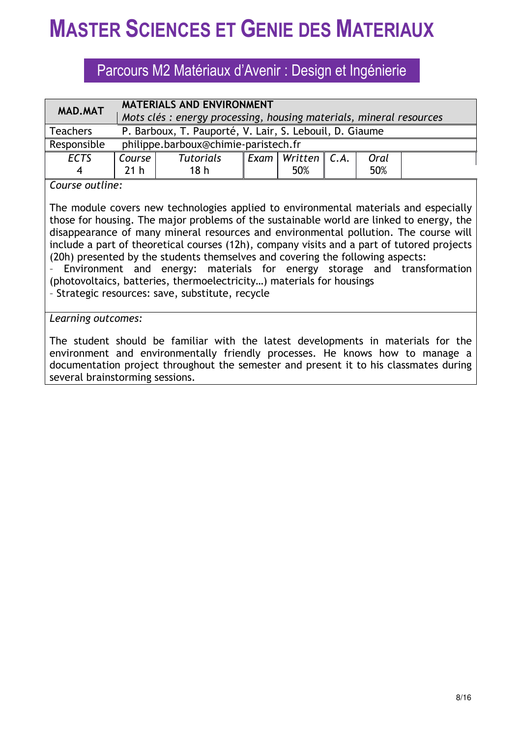## Parcours M2 Matériaux d'Avenir : Design et Ingénierie

| <b>MAD.MAT</b>  |                 | <b>MATERIALS AND ENVIRONMENT</b>                                                  |  |  |  |  |  |  |
|-----------------|-----------------|-----------------------------------------------------------------------------------|--|--|--|--|--|--|
|                 |                 | Mots clés : energy processing, housing materials, mineral resources               |  |  |  |  |  |  |
| <b>Teachers</b> |                 | P. Barboux, T. Pauporté, V. Lair, S. Lebouil, D. Giaume                           |  |  |  |  |  |  |
| Responsible     |                 | philippe.barboux@chimie-paristech.fr                                              |  |  |  |  |  |  |
| <b>ECTS</b>     | Course          | $\parallel$ Exam $\parallel$ Written $\parallel$ C.A.<br><b>Tutorials</b><br>Oral |  |  |  |  |  |  |
| 4               | 21 <sub>h</sub> | 50%<br>18 <sub>h</sub><br>50%                                                     |  |  |  |  |  |  |
|                 |                 |                                                                                   |  |  |  |  |  |  |

### *Course outline:*

The module covers new technologies applied to environmental materials and especially those for housing. The major problems of the sustainable world are linked to energy, the disappearance of many mineral resources and environmental pollution. The course will include a part of theoretical courses (12h), company visits and a part of tutored projects (20h) presented by the students themselves and covering the following aspects:

– Environment and energy: materials for energy storage and transformation (photovoltaics, batteries, thermoelectricity…) materials for housings

– Strategic resources: save, substitute, recycle

### *Learning outcomes:*

The student should be familiar with the latest developments in materials for the environment and environmentally friendly processes. He knows how to manage a documentation project throughout the semester and present it to his classmates during several brainstorming sessions.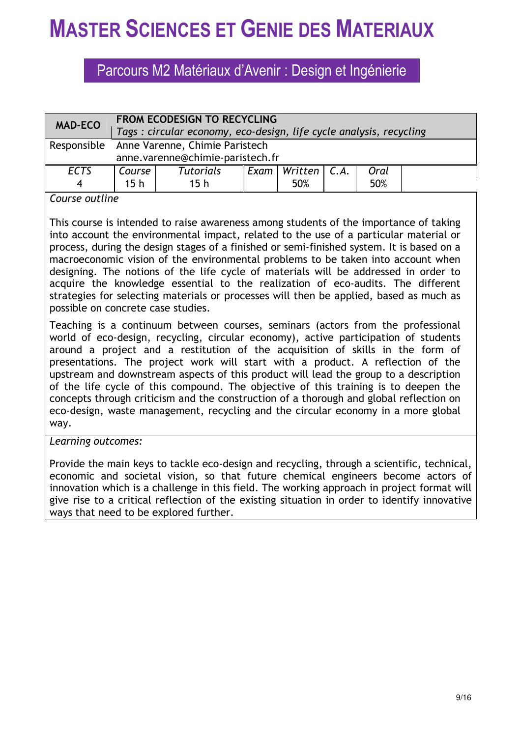## Parcours M2 Matériaux d'Avenir : Design et Ingénierie

| <b>MAD-ECO</b> | <b>FROM ECODESIGN TO RECYCLING</b><br>Tags: circular economy, eco-design, life cycle analysis, recycling |                  |  |                             |  |      |  |
|----------------|----------------------------------------------------------------------------------------------------------|------------------|--|-----------------------------|--|------|--|
|                | Responsible Anne Varenne, Chimie Paristech<br>anne.varenne@chimie-paristech.fr                           |                  |  |                             |  |      |  |
|                |                                                                                                          |                  |  |                             |  |      |  |
| <b>ECTS</b>    | Course                                                                                                   | <b>Tutorials</b> |  | Exam   Written $\vert$ C.A. |  | Oral |  |
|                | 15 <sub>h</sub>                                                                                          | 15 <sub>h</sub>  |  | 50%                         |  | 50%  |  |

*Course outline*

This course is intended to raise awareness among students of the importance of taking into account the environmental impact, related to the use of a particular material or process, during the design stages of a finished or semi-finished system. It is based on a macroeconomic vision of the environmental problems to be taken into account when designing. The notions of the life cycle of materials will be addressed in order to acquire the knowledge essential to the realization of eco-audits. The different strategies for selecting materials or processes will then be applied, based as much as possible on concrete case studies.

Teaching is a continuum between courses, seminars (actors from the professional world of eco-design, recycling, circular economy), active participation of students around a project and a restitution of the acquisition of skills in the form of presentations. The project work will start with a product. A reflection of the upstream and downstream aspects of this product will lead the group to a description of the life cycle of this compound. The objective of this training is to deepen the concepts through criticism and the construction of a thorough and global reflection on eco-design, waste management, recycling and the circular economy in a more global way.

*Learning outcomes:*

Provide the main keys to tackle eco-design and recycling, through a scientific, technical, economic and societal vision, so that future chemical engineers become actors of innovation which is a challenge in this field. The working approach in project format will give rise to a critical reflection of the existing situation in order to identify innovative ways that need to be explored further.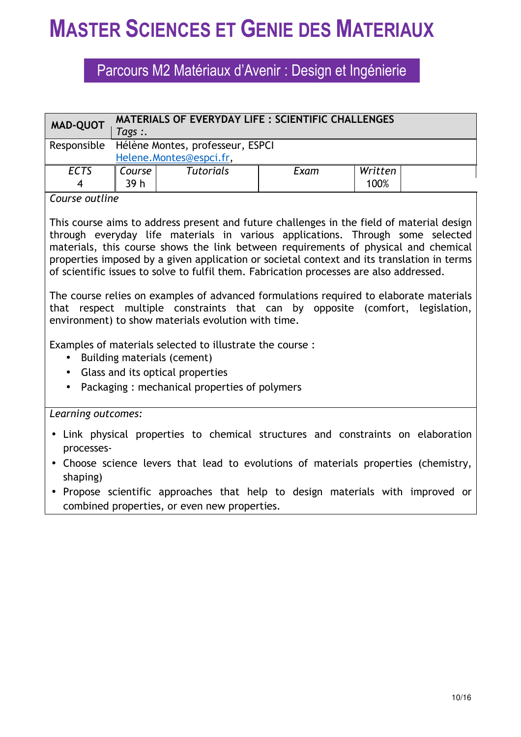### Parcours M2 Matériaux d'Avenir : Design et Ingénierie

| <b>MAD-QUOT</b> | <b>MATERIALS OF EVERYDAY LIFE : SCIENTIFIC CHALLENGES</b><br>Tags :. |                                  |      |         |  |  |  |
|-----------------|----------------------------------------------------------------------|----------------------------------|------|---------|--|--|--|
| Responsible     |                                                                      | Hélène Montes, professeur, ESPCI |      |         |  |  |  |
|                 |                                                                      | Helene.Montes@espci.fr,          |      |         |  |  |  |
| <b>ECTS</b>     | Course                                                               | <b>Tutorials</b>                 | Exam | Written |  |  |  |
| 4               | 39 h                                                                 |                                  |      | 100%    |  |  |  |

### *Course outline*

This course aims to address present and future challenges in the field of material design through everyday life materials in various applications. Through some selected materials, this course shows the link between requirements of physical and chemical properties imposed by a given application or societal context and its translation in terms of scientific issues to solve to fulfil them. Fabrication processes are also addressed.

The course relies on examples of advanced formulations required to elaborate materials that respect multiple constraints that can by opposite (comfort, legislation, environment) to show materials evolution with time.

Examples of materials selected to illustrate the course :

- Building materials (cement)
- Glass and its optical properties
- Packaging : mechanical properties of polymers

### *Learning outcomes:*

- Link physical properties to chemical structures and constraints on elaboration processes-
- Choose science levers that lead to evolutions of materials properties (chemistry, shaping)
- Propose scientific approaches that help to design materials with improved or combined properties, or even new properties.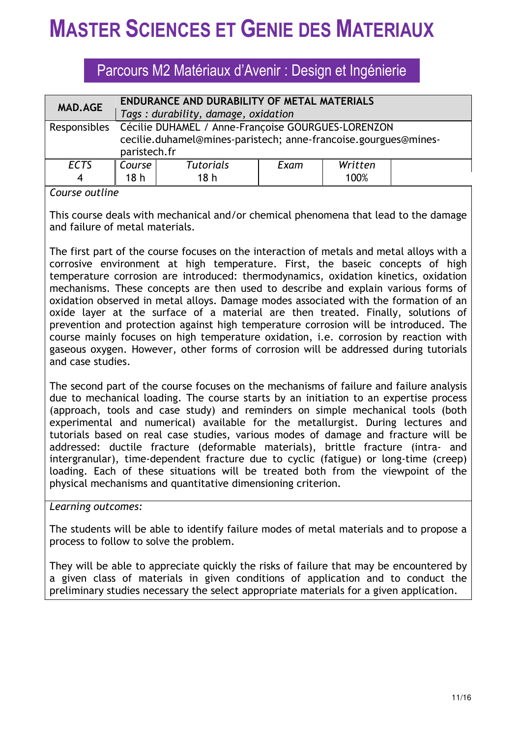Parcours M2 Matériaux d'Avenir : Design et Ingénierie

| <b>MAD.AGE</b> | ENDURANCE AND DURABILITY OF METAL MATERIALS                     |                                                    |      |         |  |  |  |
|----------------|-----------------------------------------------------------------|----------------------------------------------------|------|---------|--|--|--|
|                | Tags: durability, damage, oxidation                             |                                                    |      |         |  |  |  |
| Responsibles   |                                                                 | Cécilie DUHAMEL / Anne-Françoise GOURGUES-LORENZON |      |         |  |  |  |
|                | cecilie.duhamel@mines-paristech; anne-francoise.gourgues@mines- |                                                    |      |         |  |  |  |
|                | paristech.fr                                                    |                                                    |      |         |  |  |  |
| <b>ECTS</b>    | Course                                                          | <b>Tutorials</b>                                   | Exam | Written |  |  |  |
| 4              | 18 h                                                            | 18 <sub>h</sub>                                    |      | 100%    |  |  |  |

#### *Course outline*

This course deals with mechanical and/or chemical phenomena that lead to the damage and failure of metal materials.

The first part of the course focuses on the interaction of metals and metal alloys with a corrosive environment at high temperature. First, the baseic concepts of high temperature corrosion are introduced: thermodynamics, oxidation kinetics, oxidation mechanisms. These concepts are then used to describe and explain various forms of oxidation observed in metal alloys. Damage modes associated with the formation of an oxide layer at the surface of a material are then treated. Finally, solutions of prevention and protection against high temperature corrosion will be introduced. The course mainly focuses on high temperature oxidation, i.e. corrosion by reaction with gaseous oxygen. However, other forms of corrosion will be addressed during tutorials and case studies.

The second part of the course focuses on the mechanisms of failure and failure analysis due to mechanical loading. The course starts by an initiation to an expertise process (approach, tools and case study) and reminders on simple mechanical tools (both experimental and numerical) available for the metallurgist. During lectures and tutorials based on real case studies, various modes of damage and fracture will be addressed: ductile fracture (deformable materials), brittle fracture (intra- and intergranular), time-dependent fracture due to cyclic (fatigue) or long-time (creep) loading. Each of these situations will be treated both from the viewpoint of the physical mechanisms and quantitative dimensioning criterion.

*Learning outcomes:*

The students will be able to identify failure modes of metal materials and to propose a process to follow to solve the problem.

They will be able to appreciate quickly the risks of failure that may be encountered by a given class of materials in given conditions of application and to conduct the preliminary studies necessary the select appropriate materials for a given application.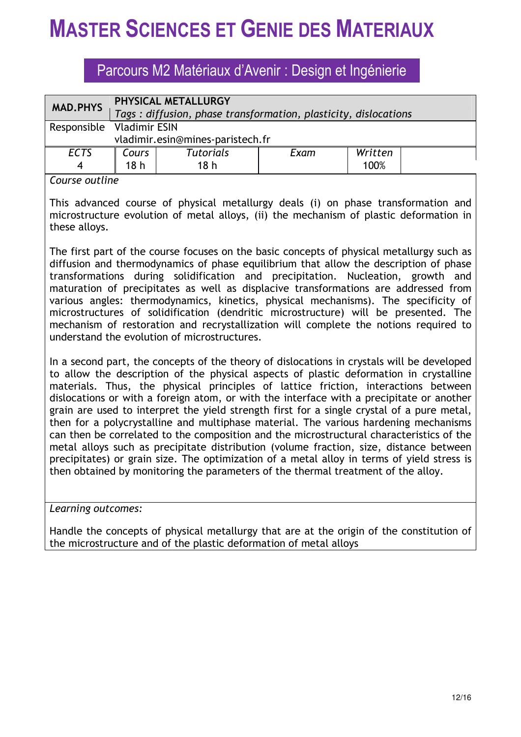### Parcours M2 Matériaux d'Avenir : Design et Ingénierie

| <b>MAD.PHYS</b>           | PHYSICAL METALLURGY              |                                                                 |      |         |  |  |  |  |
|---------------------------|----------------------------------|-----------------------------------------------------------------|------|---------|--|--|--|--|
|                           |                                  | Tags: diffusion, phase transformation, plasticity, dislocations |      |         |  |  |  |  |
| Responsible Vladimir ESIN |                                  |                                                                 |      |         |  |  |  |  |
|                           | vladimir.esin@mines-paristech.fr |                                                                 |      |         |  |  |  |  |
| <b>ECTS</b>               | Cours                            | <b>Tutorials</b>                                                | Exam | Written |  |  |  |  |
| 4                         | 18 <sub>h</sub>                  | 18 <sub>h</sub>                                                 |      | 100%    |  |  |  |  |

*Course outline*

This advanced course of physical metallurgy deals (i) on phase transformation and microstructure evolution of metal alloys, (ii) the mechanism of plastic deformation in these alloys.

The first part of the course focuses on the basic concepts of physical metallurgy such as diffusion and thermodynamics of phase equilibrium that allow the description of phase transformations during solidification and precipitation. Nucleation, growth and maturation of precipitates as well as displacive transformations are addressed from various angles: thermodynamics, kinetics, physical mechanisms). The specificity of microstructures of solidification (dendritic microstructure) will be presented. The mechanism of restoration and recrystallization will complete the notions required to understand the evolution of microstructures.

In a second part, the concepts of the theory of dislocations in crystals will be developed to allow the description of the physical aspects of plastic deformation in crystalline materials. Thus, the physical principles of lattice friction, interactions between dislocations or with a foreign atom, or with the interface with a precipitate or another grain are used to interpret the yield strength first for a single crystal of a pure metal, then for a polycrystalline and multiphase material. The various hardening mechanisms can then be correlated to the composition and the microstructural characteristics of the metal alloys such as precipitate distribution (volume fraction, size, distance between precipitates) or grain size. The optimization of a metal alloy in terms of yield stress is then obtained by monitoring the parameters of the thermal treatment of the alloy.

*Learning outcomes:*

Handle the concepts of physical metallurgy that are at the origin of the constitution of the microstructure and of the plastic deformation of metal alloys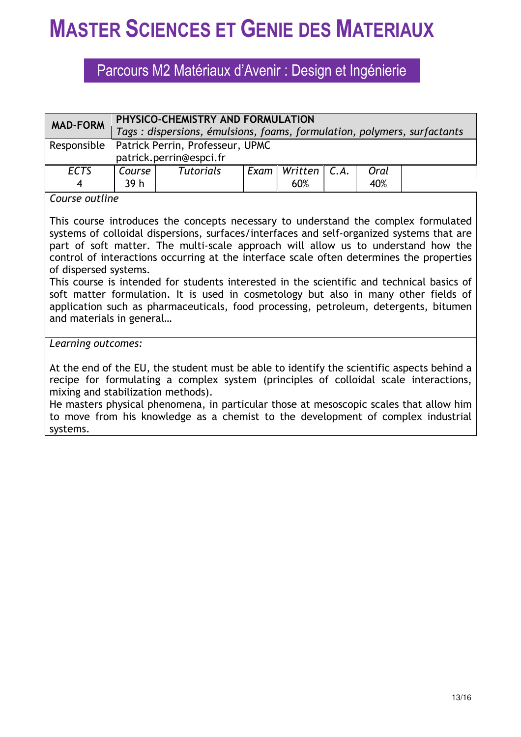## Parcours M2 Matériaux d'Avenir : Design et Ingénierie

| <b>MAD-FORM</b>  | PHYSICO-CHEMISTRY AND FORMULATION<br>Tags: dispersions, émulsions, foams, formulation, polymers, surfactants |                  |  |                                                     |  |             |  |
|------------------|--------------------------------------------------------------------------------------------------------------|------------------|--|-----------------------------------------------------|--|-------------|--|
|                  | Responsible Patrick Perrin, Professeur, UPMC<br>patrick.perrin@espci.fr                                      |                  |  |                                                     |  |             |  |
| <b>ECTS</b><br>4 | Course<br>39 <sub>h</sub>                                                                                    | <b>Tutorials</b> |  | $\lceil$ Exam $\lceil$ Written $\lceil$ C.A.<br>60% |  | Oral<br>40% |  |

### *Course outline*

This course introduces the concepts necessary to understand the complex formulated systems of colloidal dispersions, surfaces/interfaces and self-organized systems that are part of soft matter. The multi-scale approach will allow us to understand how the control of interactions occurring at the interface scale often determines the properties of dispersed systems.

This course is intended for students interested in the scientific and technical basics of soft matter formulation. It is used in cosmetology but also in many other fields of application such as pharmaceuticals, food processing, petroleum, detergents, bitumen and materials in general…

### *Learning outcomes:*

At the end of the EU, the student must be able to identify the scientific aspects behind a recipe for formulating a complex system (principles of colloidal scale interactions, mixing and stabilization methods).

He masters physical phenomena, in particular those at mesoscopic scales that allow him to move from his knowledge as a chemist to the development of complex industrial systems.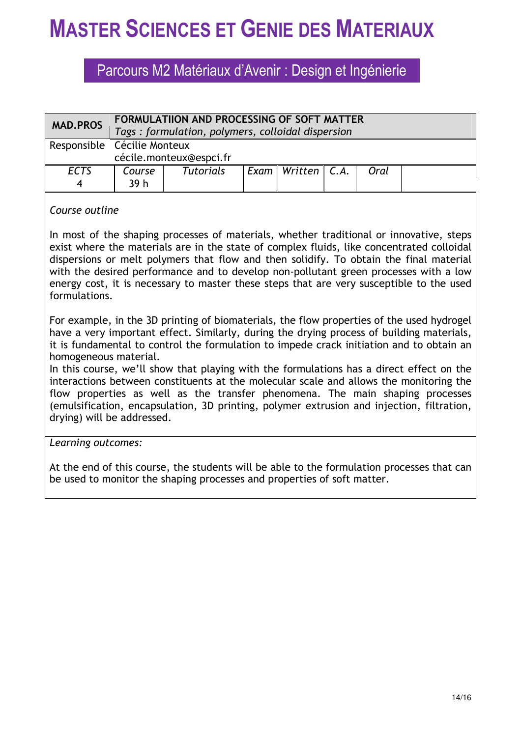### Parcours M2 Matériaux d'Avenir : Design et Ingénierie

| <b>MAD.PROS</b> | FORMULATIION AND PROCESSING OF SOFT MATTER<br>Tags: formulation, polymers, colloidal dispersion |                             |  |                             |  |      |  |
|-----------------|-------------------------------------------------------------------------------------------------|-----------------------------|--|-----------------------------|--|------|--|
|                 |                                                                                                 | Responsible Cécilie Monteux |  |                             |  |      |  |
|                 |                                                                                                 | cécile.monteux@espci.fr     |  |                             |  |      |  |
| <b>ECTS</b>     | Course                                                                                          | <b>Tutorials</b>            |  | Exam   Written $ $ C.A. $ $ |  | Oral |  |
|                 | 39 h                                                                                            |                             |  |                             |  |      |  |

### *Course outline*

In most of the shaping processes of materials, whether traditional or innovative, steps exist where the materials are in the state of complex fluids, like concentrated colloidal dispersions or melt polymers that flow and then solidify. To obtain the final material with the desired performance and to develop non-pollutant green processes with a low energy cost, it is necessary to master these steps that are very susceptible to the used formulations.

For example, in the 3D printing of biomaterials, the flow properties of the used hydrogel have a very important effect. Similarly, during the drying process of building materials, it is fundamental to control the formulation to impede crack initiation and to obtain an homogeneous material.

In this course, we'll show that playing with the formulations has a direct effect on the interactions between constituents at the molecular scale and allows the monitoring the flow properties as well as the transfer phenomena. The main shaping processes (emulsification, encapsulation, 3D printing, polymer extrusion and injection, filtration, drying) will be addressed.

### *Learning outcomes:*

At the end of this course, the students will be able to the formulation processes that can be used to monitor the shaping processes and properties of soft matter.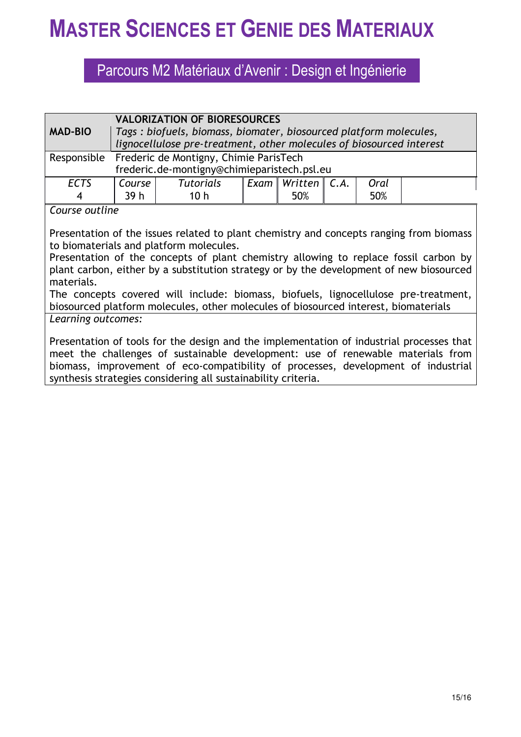### Parcours M2 Matériaux d'Avenir : Design et Ingénierie

| <b>MAD-BIO</b>                                                                                                                            | <b>VALORIZATION OF BIORESOURCES</b><br>Tags: biofuels, biomass, biomater, biosourced platform molecules,<br>lignocellulose pre-treatment, other molecules of biosourced interest |  |  |  |  |
|-------------------------------------------------------------------------------------------------------------------------------------------|----------------------------------------------------------------------------------------------------------------------------------------------------------------------------------|--|--|--|--|
|                                                                                                                                           | Responsible Frederic de Montigny, Chimie ParisTech<br>frederic.de-montigny@chimieparistech.psl.eu                                                                                |  |  |  |  |
| Course<br>Exam   Written $\vert$ C.A.<br><b>Tutorials</b><br>Oral<br><b>ECTS</b><br>39 <sub>h</sub><br>10 <sub>h</sub><br>50%<br>50%<br>4 |                                                                                                                                                                                  |  |  |  |  |
| Course outline                                                                                                                            |                                                                                                                                                                                  |  |  |  |  |

Presentation of the issues related to plant chemistry and concepts ranging from biomass to biomaterials and platform molecules.

Presentation of the concepts of plant chemistry allowing to replace fossil carbon by plant carbon, either by a substitution strategy or by the development of new biosourced materials.

The concepts covered will include: biomass, biofuels, lignocellulose pre-treatment, biosourced platform molecules, other molecules of biosourced interest, biomaterials

*Learning outcomes:*

Presentation of tools for the design and the implementation of industrial processes that meet the challenges of sustainable development: use of renewable materials from biomass, improvement of eco-compatibility of processes, development of industrial synthesis strategies considering all sustainability criteria.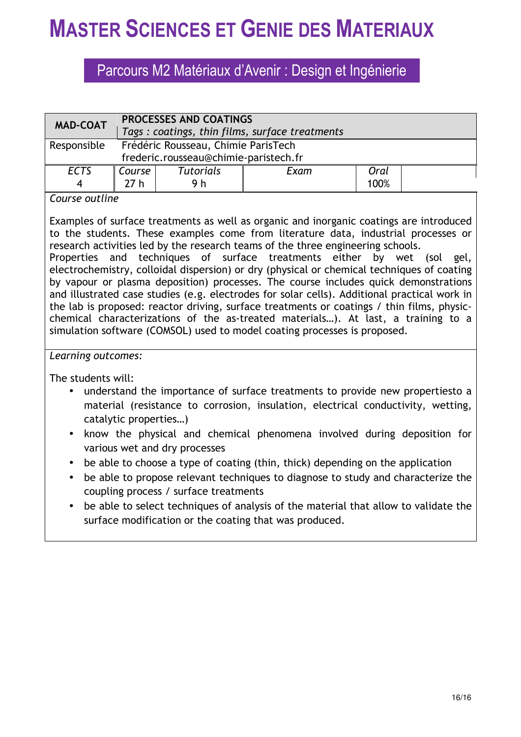## Parcours M2 Matériaux d'Avenir : Design et Ingénierie

| <b>MAD-COAT</b>  | <b>PROCESSES AND COATINGS</b><br>Tags: coatings, thin films, surface treatments |                         |      |              |  |
|------------------|---------------------------------------------------------------------------------|-------------------------|------|--------------|--|
| Responsible      | Frédéric Rousseau, Chimie ParisTech<br>frederic.rousseau@chimie-paristech.fr    |                         |      |              |  |
| <b>ECTS</b><br>4 | Course<br>27 h                                                                  | <b>Tutorials</b><br>9 h | Exam | Oral<br>100% |  |

### *Course outline*

Examples of surface treatments as well as organic and inorganic coatings are introduced to the students. These examples come from literature data, industrial processes or research activities led by the research teams of the three engineering schools.

Properties and techniques of surface treatments either by wet (sol gel, electrochemistry, colloidal dispersion) or dry (physical or chemical techniques of coating by vapour or plasma deposition) processes. The course includes quick demonstrations and illustrated case studies (e.g. electrodes for solar cells). Additional practical work in the lab is proposed: reactor driving, surface treatments or coatings / thin films, physicchemical characterizations of the as-treated materials…). At last, a training to a simulation software (COMSOL) used to model coating processes is proposed.

### *Learning outcomes:*

The students will:

- understand the importance of surface treatments to provide new propertiesto a material (resistance to corrosion, insulation, electrical conductivity, wetting, catalytic properties…)
- know the physical and chemical phenomena involved during deposition for various wet and dry processes
- be able to choose a type of coating (thin, thick) depending on the application
- be able to propose relevant techniques to diagnose to study and characterize the coupling process / surface treatments
- be able to select techniques of analysis of the material that allow to validate the surface modification or the coating that was produced.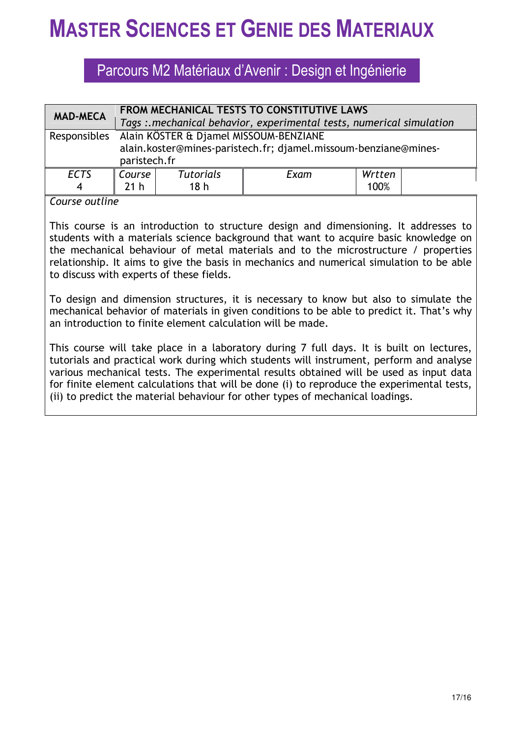### Parcours M2 Matériaux d'Avenir : Design et Ingénierie

| <b>MAD-MECA</b> | FROM MECHANICAL TESTS TO CONSTITUTIVE LAWS                                                                                             |                  |      |        |  |  |
|-----------------|----------------------------------------------------------------------------------------------------------------------------------------|------------------|------|--------|--|--|
|                 | Tags : mechanical behavior, experimental tests, numerical simulation                                                                   |                  |      |        |  |  |
|                 | Responsibles Alain KÖSTER & Djamel MISSOUM-BENZIANE<br>alain.koster@mines-paristech.fr; djamel.missoum-benziane@mines-<br>paristech.fr |                  |      |        |  |  |
| <b>ECTS</b>     | <b>Course</b>                                                                                                                          | <b>Tutorials</b> | Exam | Wrtten |  |  |
| $\overline{4}$  | 21 <sub>h</sub>                                                                                                                        | 18 <sub>h</sub>  |      | 100%   |  |  |

### *Course outline*

This course is an introduction to structure design and dimensioning. It addresses to students with a materials science background that want to acquire basic knowledge on the mechanical behaviour of metal materials and to the microstructure / properties relationship. It aims to give the basis in mechanics and numerical simulation to be able to discuss with experts of these fields.

To design and dimension structures, it is necessary to know but also to simulate the mechanical behavior of materials in given conditions to be able to predict it. That's why an introduction to finite element calculation will be made.

This course will take place in a laboratory during 7 full days. It is built on lectures, tutorials and practical work during which students will instrument, perform and analyse various mechanical tests. The experimental results obtained will be used as input data for finite element calculations that will be done (i) to reproduce the experimental tests, (ii) to predict the material behaviour for other types of mechanical loadings.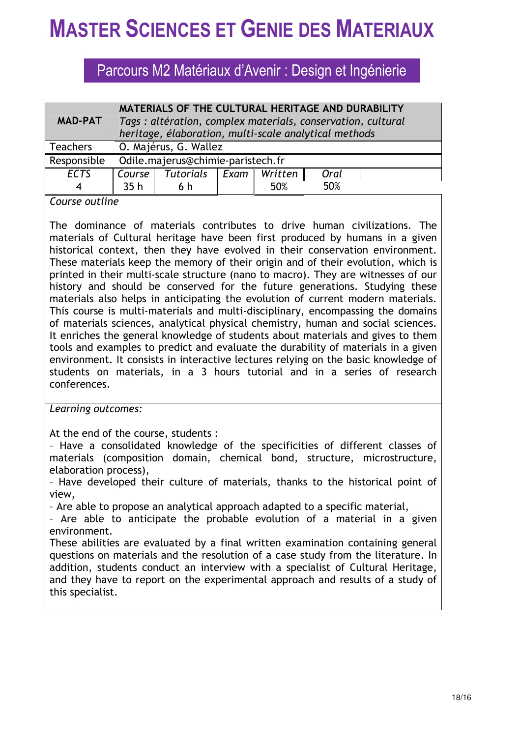## Parcours M2 Matériaux d'Avenir : Design et Ingénierie

|                 | MATERIALS OF THE CULTURAL HERITAGE AND DURABILITY           |                                                       |      |         |      |  |
|-----------------|-------------------------------------------------------------|-------------------------------------------------------|------|---------|------|--|
| <b>MAD-PAT</b>  | Tags: altération, complex materials, conservation, cultural |                                                       |      |         |      |  |
|                 |                                                             | heritage, élaboration, multi-scale analytical methods |      |         |      |  |
| <b>Teachers</b> | O. Majérus, G. Wallez                                       |                                                       |      |         |      |  |
| Responsible     | Odile.majerus@chimie-paristech.fr                           |                                                       |      |         |      |  |
| <b>ECTS</b>     | Course                                                      | Tutorials                                             | Exam | Written | Oral |  |
|                 | 35 <sub>h</sub>                                             | 6 h                                                   |      | 50%     | 50%  |  |

*Course outline*

The dominance of materials contributes to drive human civilizations. The materials of Cultural heritage have been first produced by humans in a given historical context, then they have evolved in their conservation environment. These materials keep the memory of their origin and of their evolution, which is printed in their multi-scale structure (nano to macro). They are witnesses of our history and should be conserved for the future generations. Studying these materials also helps in anticipating the evolution of current modern materials. This course is multi-materials and multi-disciplinary, encompassing the domains of materials sciences, analytical physical chemistry, human and social sciences. It enriches the general knowledge of students about materials and gives to them tools and examples to predict and evaluate the durability of materials in a given environment. It consists in interactive lectures relying on the basic knowledge of students on materials, in a 3 hours tutorial and in a series of research conferences.

*Learning outcomes:*

At the end of the course, students :

– Have a consolidated knowledge of the specificities of different classes of materials (composition domain, chemical bond, structure, microstructure, elaboration process),

– Have developed their culture of materials, thanks to the historical point of view,

– Are able to propose an analytical approach adapted to a specific material,

– Are able to anticipate the probable evolution of a material in a given environment.

These abilities are evaluated by a final written examination containing general questions on materials and the resolution of a case study from the literature. In addition, students conduct an interview with a specialist of Cultural Heritage, and they have to report on the experimental approach and results of a study of this specialist.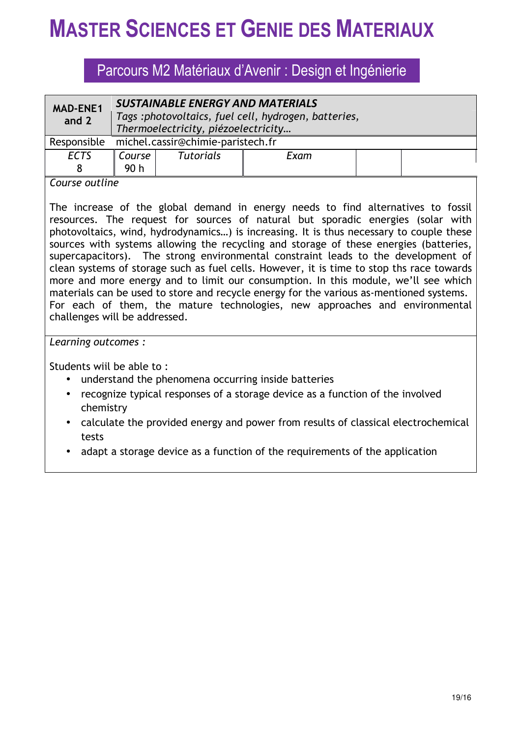### Parcours M2 Matériaux d'Avenir : Design et Ingénierie

| <b>MAD-ENE1</b><br>and 2                              | <b>SUSTAINABLE ENERGY AND MATERIALS</b><br>Tags :photovoltaics, fuel cell, hydrogen, batteries,<br>Thermoelectricity, piézoelectricity |  |  |  |  |
|-------------------------------------------------------|----------------------------------------------------------------------------------------------------------------------------------------|--|--|--|--|
| Responsible                                           | michel.cassir@chimie-paristech.fr                                                                                                      |  |  |  |  |
| <b>ECTS</b>                                           | <b>Tutorials</b><br>Course  <br>Exam<br>90 <sub>h</sub>                                                                                |  |  |  |  |
| $\mathcal{L}$ - and $\mathcal{L}$ - and $\mathcal{L}$ |                                                                                                                                        |  |  |  |  |

#### *Course outline*

The increase of the global demand in energy needs to find alternatives to fossil resources. The request for sources of natural but sporadic energies (solar with photovoltaics, wind, hydrodynamics…) is increasing. It is thus necessary to couple these sources with systems allowing the recycling and storage of these energies (batteries, supercapacitors). The strong environmental constraint leads to the development of clean systems of storage such as fuel cells. However, it is time to stop ths race towards more and more energy and to limit our consumption. In this module, we'll see which materials can be used to store and recycle energy for the various as-mentioned systems. For each of them, the mature technologies, new approaches and environmental challenges will be addressed.

### *Learning outcomes :*

Students wiil be able to :

- understand the phenomena occurring inside batteries
- recognize typical responses of a storage device as a function of the involved chemistry
- calculate the provided energy and power from results of classical electrochemical tests
- adapt a storage device as a function of the requirements of the application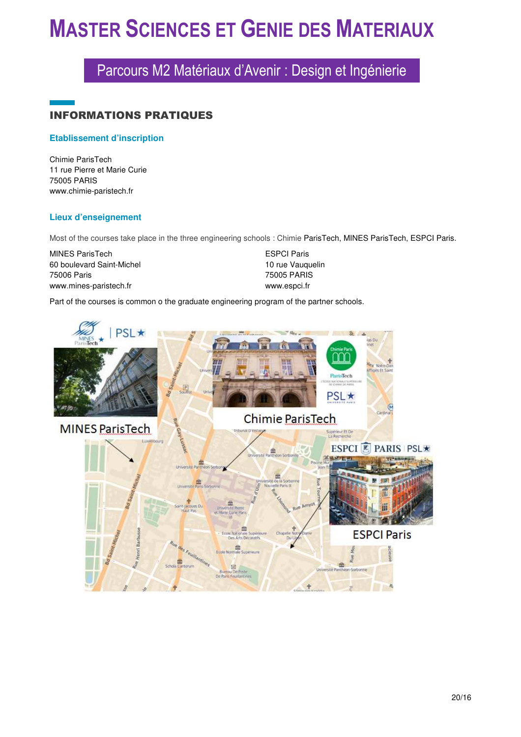## Parcours M2 Matériaux d'Avenir : Design et Ingénierie

### INFORMATIONS PRATIQUES

#### **Etablissement d'inscription**

Chimie ParisTech 11 rue Pierre et Marie Curie 75005 PARIS www.chimie-paristech.fr

#### **Lieux d'enseignement**

Most of the courses take place in the three engineering schools : Chimie ParisTech, MINES ParisTech, ESPCI Paris.

| <b>MINES ParisTech</b>    | <b>ESPCI Paris</b> |
|---------------------------|--------------------|
| 60 boulevard Saint-Michel | 10 rue Vauguelin   |
| 75006 Paris               | 75005 PARIS        |
| www.mines-paristech.fr    | www.espci.fr       |

Part of the courses is common o the graduate engineering program of the partner schools.